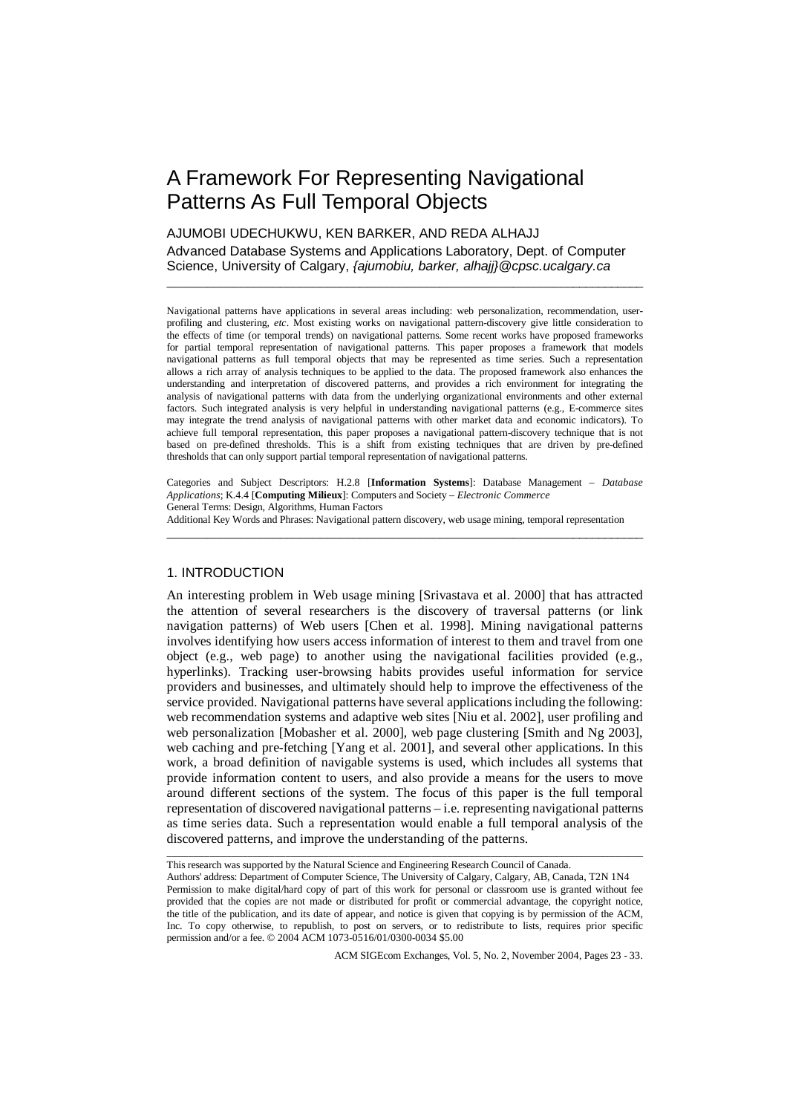# A Framework For Representing Navigational Patterns As Full Temporal Objects

# AJUMOBI UDECHUKWU, KEN BARKER, AND REDA ALHAJJ

Advanced Database Systems and Applications Laboratory, Dept. of Computer Science, University of Calgary, *{ajumobiu, barker, alhajj}@cpsc.ucalgary.ca* 

\_\_\_\_\_\_\_\_\_\_\_\_\_\_\_\_\_\_\_\_\_\_\_\_\_\_\_\_\_\_\_\_\_\_\_\_\_\_\_\_\_\_\_\_\_\_\_\_\_\_\_\_\_\_\_\_\_\_\_\_\_\_\_\_\_\_\_\_\_\_\_\_

Navigational patterns have applications in several areas including: web personalization, recommendation, userprofiling and clustering, *etc*. Most existing works on navigational pattern-discovery give little consideration to the effects of time (or temporal trends) on navigational patterns. Some recent works have proposed frameworks for partial temporal representation of navigational patterns. This paper proposes a framework that models navigational patterns as full temporal objects that may be represented as time series. Such a representation allows a rich array of analysis techniques to be applied to the data. The proposed framework also enhances the understanding and interpretation of discovered patterns, and provides a rich environment for integrating the analysis of navigational patterns with data from the underlying organizational environments and other external factors. Such integrated analysis is very helpful in understanding navigational patterns (e.g., E-commerce sites may integrate the trend analysis of navigational patterns with other market data and economic indicators). To achieve full temporal representation, this paper proposes a navigational pattern-discovery technique that is not based on pre-defined thresholds. This is a shift from existing techniques that are driven by pre-defined thresholds that can only support partial temporal representation of navigational patterns.

Categories and Subject Descriptors: H.2.8 [**Information Systems**]: Database Management – *Database Applications*; K.4.4 [**Computing Milieux**]: Computers and Society – *Electronic Commerce* General Terms: Design, Algorithms, Human Factors Additional Key Words and Phrases: Navigational pattern discovery, web usage mining, temporal representation

\_\_\_\_\_\_\_\_\_\_\_\_\_\_\_\_\_\_\_\_\_\_\_\_\_\_\_\_\_\_\_\_\_\_\_\_\_\_\_\_\_\_\_\_\_\_\_\_\_\_\_\_\_\_\_\_\_\_\_\_\_\_\_\_\_\_\_\_\_\_\_\_

# 1. INTRODUCTION

An interesting problem in Web usage mining [Srivastava et al. 2000] that has attracted the attention of several researchers is the discovery of traversal patterns (or link navigation patterns) of Web users [Chen et al. 1998]. Mining navigational patterns involves identifying how users access information of interest to them and travel from one object (e.g., web page) to another using the navigational facilities provided (e.g., hyperlinks). Tracking user-browsing habits provides useful information for service providers and businesses, and ultimately should help to improve the effectiveness of the service provided. Navigational patterns have several applications including the following: web recommendation systems and adaptive web sites [Niu et al. 2002], user profiling and web personalization [Mobasher et al. 2000], web page clustering [Smith and Ng 2003], web caching and pre-fetching [Yang et al. 2001], and several other applications. In this work, a broad definition of navigable systems is used, which includes all systems that provide information content to users, and also provide a means for the users to move around different sections of the system. The focus of this paper is the full temporal representation of discovered navigational patterns – i.e. representing navigational patterns as time series data. Such a representation would enable a full temporal analysis of the discovered patterns, and improve the understanding of the patterns.

\_\_\_\_\_\_\_\_\_\_\_\_\_\_\_\_\_\_\_\_\_\_\_\_\_\_\_\_\_\_\_\_\_\_\_\_\_\_\_\_\_\_\_\_\_\_\_\_\_\_\_\_\_\_\_\_\_\_\_\_\_\_\_\_\_\_\_\_\_\_\_\_\_\_\_\_\_\_\_\_\_\_\_\_\_\_\_\_\_\_

This research was supported by the Natural Science and Engineering Research Council of Canada.

Authors' address: Department of Computer Science, The University of Calgary, Calgary, AB, Canada, T2N 1N4 Permission to make digital/hard copy of part of this work for personal or classroom use is granted without fee provided that the copies are not made or distributed for profit or commercial advantage, the copyright notice, the title of the publication, and its date of appear, and notice is given that copying is by permission of the ACM, Inc. To copy otherwise, to republish, to post on servers, or to redistribute to lists, requires prior specific permission and/or a fee. © 2004 ACM 1073-0516/01/0300-0034 \$5.00

ACM SIGEcom Exchanges, Vol. 5, No. 2, November 2004, Pages 23 - 33.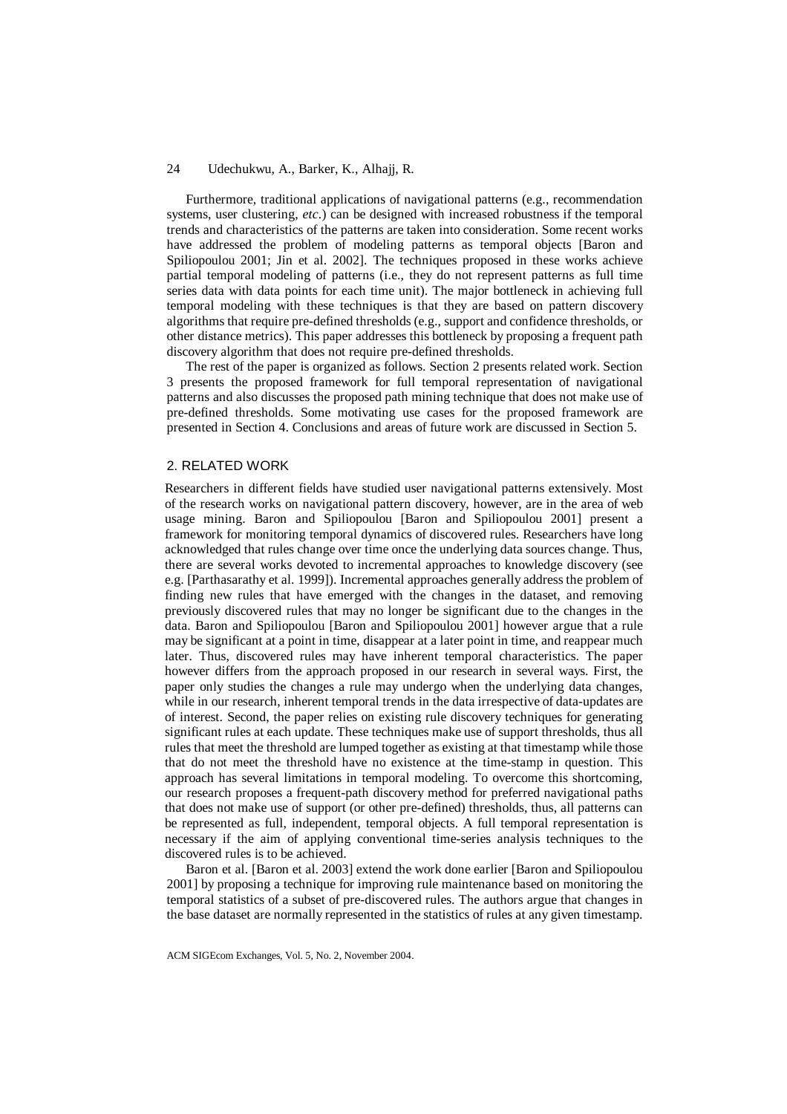Furthermore, traditional applications of navigational patterns (e.g., recommendation systems, user clustering, *etc*.) can be designed with increased robustness if the temporal trends and characteristics of the patterns are taken into consideration. Some recent works have addressed the problem of modeling patterns as temporal objects [Baron and Spiliopoulou 2001; Jin et al. 2002]. The techniques proposed in these works achieve partial temporal modeling of patterns (i.e., they do not represent patterns as full time series data with data points for each time unit). The major bottleneck in achieving full temporal modeling with these techniques is that they are based on pattern discovery algorithms that require pre-defined thresholds (e.g., support and confidence thresholds, or other distance metrics). This paper addresses this bottleneck by proposing a frequent path discovery algorithm that does not require pre-defined thresholds.

The rest of the paper is organized as follows. Section 2 presents related work. Section 3 presents the proposed framework for full temporal representation of navigational patterns and also discusses the proposed path mining technique that does not make use of pre-defined thresholds. Some motivating use cases for the proposed framework are presented in Section 4. Conclusions and areas of future work are discussed in Section 5.

#### 2. RELATED WORK

Researchers in different fields have studied user navigational patterns extensively. Most of the research works on navigational pattern discovery, however, are in the area of web usage mining. Baron and Spiliopoulou [Baron and Spiliopoulou 2001] present a framework for monitoring temporal dynamics of discovered rules. Researchers have long acknowledged that rules change over time once the underlying data sources change. Thus, there are several works devoted to incremental approaches to knowledge discovery (see e.g. [Parthasarathy et al. 1999]). Incremental approaches generally address the problem of finding new rules that have emerged with the changes in the dataset, and removing previously discovered rules that may no longer be significant due to the changes in the data. Baron and Spiliopoulou [Baron and Spiliopoulou 2001] however argue that a rule may be significant at a point in time, disappear at a later point in time, and reappear much later. Thus, discovered rules may have inherent temporal characteristics. The paper however differs from the approach proposed in our research in several ways. First, the paper only studies the changes a rule may undergo when the underlying data changes, while in our research, inherent temporal trends in the data irrespective of data-updates are of interest. Second, the paper relies on existing rule discovery techniques for generating significant rules at each update. These techniques make use of support thresholds, thus all rules that meet the threshold are lumped together as existing at that timestamp while those that do not meet the threshold have no existence at the time-stamp in question. This approach has several limitations in temporal modeling. To overcome this shortcoming, our research proposes a frequent-path discovery method for preferred navigational paths that does not make use of support (or other pre-defined) thresholds, thus, all patterns can be represented as full, independent, temporal objects. A full temporal representation is necessary if the aim of applying conventional time-series analysis techniques to the discovered rules is to be achieved.

Baron et al. [Baron et al. 2003] extend the work done earlier [Baron and Spiliopoulou 2001] by proposing a technique for improving rule maintenance based on monitoring the temporal statistics of a subset of pre-discovered rules. The authors argue that changes in the base dataset are normally represented in the statistics of rules at any given timestamp.

ACM SIGEcom Exchanges, Vol. 5, No. 2, November 2004.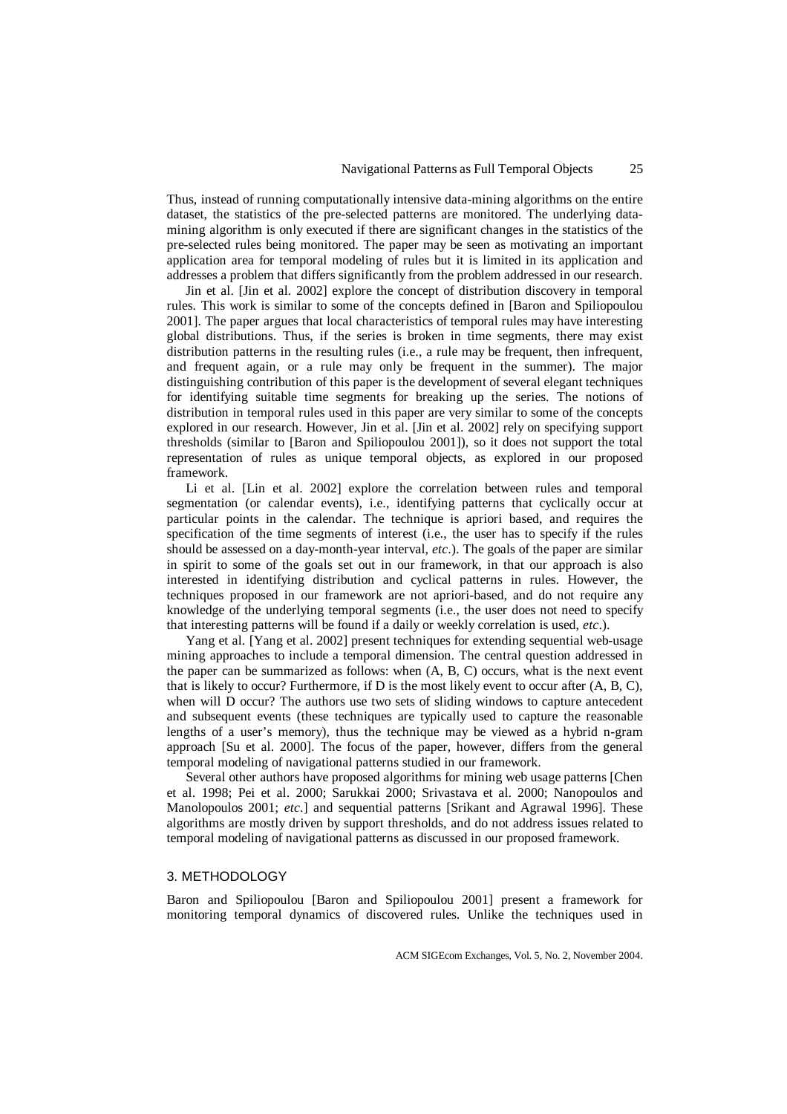Thus, instead of running computationally intensive data-mining algorithms on the entire dataset, the statistics of the pre-selected patterns are monitored. The underlying datamining algorithm is only executed if there are significant changes in the statistics of the pre-selected rules being monitored. The paper may be seen as motivating an important application area for temporal modeling of rules but it is limited in its application and addresses a problem that differs significantly from the problem addressed in our research.

Jin et al. [Jin et al. 2002] explore the concept of distribution discovery in temporal rules. This work is similar to some of the concepts defined in [Baron and Spiliopoulou 2001]. The paper argues that local characteristics of temporal rules may have interesting global distributions. Thus, if the series is broken in time segments, there may exist distribution patterns in the resulting rules (i.e., a rule may be frequent, then infrequent, and frequent again, or a rule may only be frequent in the summer). The major distinguishing contribution of this paper is the development of several elegant techniques for identifying suitable time segments for breaking up the series. The notions of distribution in temporal rules used in this paper are very similar to some of the concepts explored in our research. However, Jin et al. [Jin et al. 2002] rely on specifying support thresholds (similar to [Baron and Spiliopoulou 2001]), so it does not support the total representation of rules as unique temporal objects, as explored in our proposed framework.

Li et al. [Lin et al. 2002] explore the correlation between rules and temporal segmentation (or calendar events), i.e., identifying patterns that cyclically occur at particular points in the calendar. The technique is apriori based, and requires the specification of the time segments of interest (i.e., the user has to specify if the rules should be assessed on a day-month-year interval, *etc*.). The goals of the paper are similar in spirit to some of the goals set out in our framework, in that our approach is also interested in identifying distribution and cyclical patterns in rules. However, the techniques proposed in our framework are not apriori-based, and do not require any knowledge of the underlying temporal segments (i.e., the user does not need to specify that interesting patterns will be found if a daily or weekly correlation is used, *etc*.).

Yang et al. [Yang et al. 2002] present techniques for extending sequential web-usage mining approaches to include a temporal dimension. The central question addressed in the paper can be summarized as follows: when (A, B, C) occurs, what is the next event that is likely to occur? Furthermore, if D is the most likely event to occur after  $(A, B, C)$ , when will D occur? The authors use two sets of sliding windows to capture antecedent and subsequent events (these techniques are typically used to capture the reasonable lengths of a user's memory), thus the technique may be viewed as a hybrid n-gram approach [Su et al. 2000]. The focus of the paper, however, differs from the general temporal modeling of navigational patterns studied in our framework.

Several other authors have proposed algorithms for mining web usage patterns [Chen et al. 1998; Pei et al. 2000; Sarukkai 2000; Srivastava et al. 2000; Nanopoulos and Manolopoulos 2001; *etc*.] and sequential patterns [Srikant and Agrawal 1996]. These algorithms are mostly driven by support thresholds, and do not address issues related to temporal modeling of navigational patterns as discussed in our proposed framework.

#### 3. METHODOLOGY

Baron and Spiliopoulou [Baron and Spiliopoulou 2001] present a framework for monitoring temporal dynamics of discovered rules. Unlike the techniques used in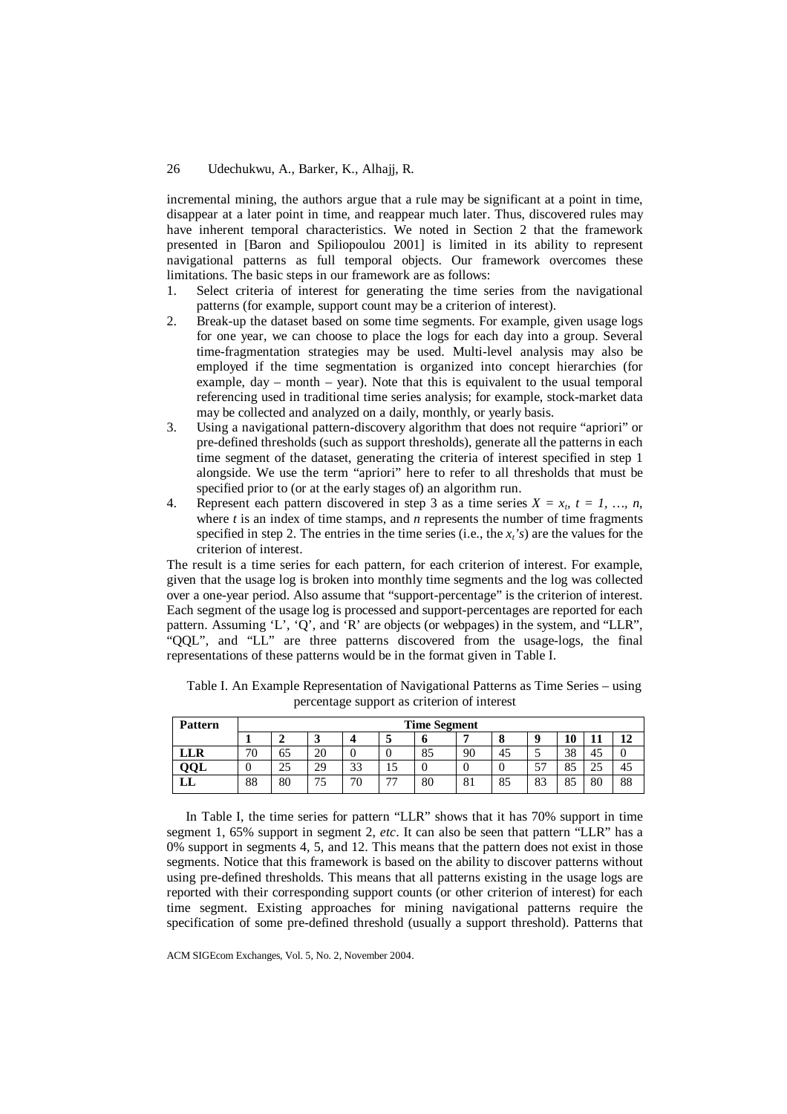incremental mining, the authors argue that a rule may be significant at a point in time, disappear at a later point in time, and reappear much later. Thus, discovered rules may have inherent temporal characteristics. We noted in Section 2 that the framework presented in [Baron and Spiliopoulou 2001] is limited in its ability to represent navigational patterns as full temporal objects. Our framework overcomes these limitations. The basic steps in our framework are as follows:

- 1. Select criteria of interest for generating the time series from the navigational patterns (for example, support count may be a criterion of interest).
- 2. Break-up the dataset based on some time segments. For example, given usage logs for one year, we can choose to place the logs for each day into a group. Several time-fragmentation strategies may be used. Multi-level analysis may also be employed if the time segmentation is organized into concept hierarchies (for example, day – month – year). Note that this is equivalent to the usual temporal referencing used in traditional time series analysis; for example, stock-market data may be collected and analyzed on a daily, monthly, or yearly basis.
- 3. Using a navigational pattern-discovery algorithm that does not require "apriori" or pre-defined thresholds (such as support thresholds), generate all the patterns in each time segment of the dataset, generating the criteria of interest specified in step 1 alongside. We use the term "apriori" here to refer to all thresholds that must be specified prior to (or at the early stages of) an algorithm run.
- 4. Represent each pattern discovered in step 3 as a time series  $X = x_t$ ,  $t = 1, ..., n$ , where *t* is an index of time stamps, and *n* represents the number of time fragments specified in step 2. The entries in the time series (i.e., the  $x<sub>t</sub>$ *'s*) are the values for the criterion of interest.

The result is a time series for each pattern, for each criterion of interest. For example, given that the usage log is broken into monthly time segments and the log was collected over a one-year period. Also assume that "support-percentage" is the criterion of interest. Each segment of the usage log is processed and support-percentages are reported for each pattern. Assuming 'L', 'Q', and 'R' are objects (or webpages) in the system, and "LLR", "QQL", and "LL" are three patterns discovered from the usage-logs, the final representations of these patterns would be in the format given in Table I.

| <b>Pattern</b> | <b>Time Segment</b>             |    |          |        |     |    |    |    |    |          |           |    |
|----------------|---------------------------------|----|----------|--------|-----|----|----|----|----|----------|-----------|----|
|                |                                 |    |          |        | ັ   | п  | Е  | 0  |    | 10       |           |    |
| LLR            | $\overline{\mathcal{L}}$<br>/ U | 65 | nη<br>ΖU |        |     | 85 | 90 | 45 |    | 20<br>20 | . .<br>43 |    |
| QQL            |                                 | 25 | 29       | $\cap$ | ⊥ J | υ  |    |    | EП | OE<br>റാ | ت ک       | 40 |
| பப             | 88                              | 80 | J        | 70     | 77  | 80 | O. | 85 | 83 | OC<br>ΟJ | 80        | 88 |

Table I. An Example Representation of Navigational Patterns as Time Series – using percentage support as criterion of interest

In Table I, the time series for pattern "LLR" shows that it has 70% support in time segment 1, 65% support in segment 2, *etc*. It can also be seen that pattern "LLR" has a 0% support in segments 4, 5, and 12. This means that the pattern does not exist in those segments. Notice that this framework is based on the ability to discover patterns without using pre-defined thresholds. This means that all patterns existing in the usage logs are reported with their corresponding support counts (or other criterion of interest) for each time segment. Existing approaches for mining navigational patterns require the specification of some pre-defined threshold (usually a support threshold). Patterns that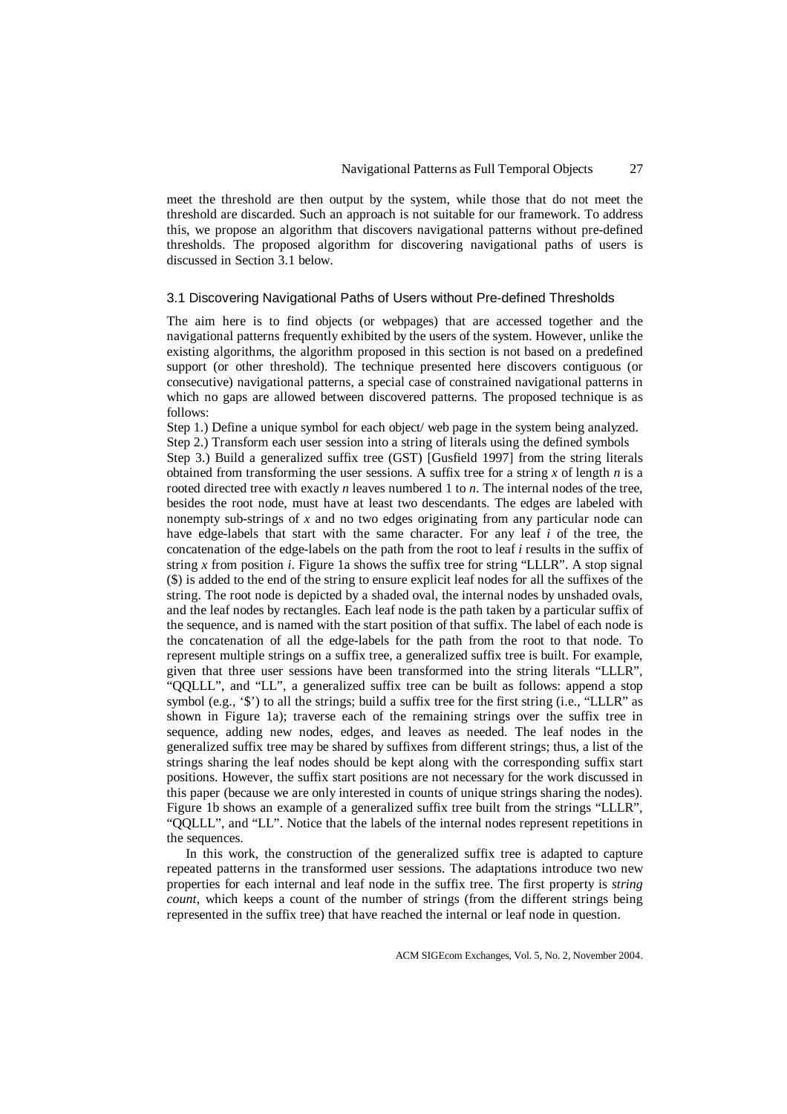meet the threshold are then output by the system, while those that do not meet the threshold are discarded. Such an approach is not suitable for our framework. To address this, we propose an algorithm that discovers navigational patterns without pre-defined thresholds. The proposed algorithm for discovering navigational paths of users is discussed in Section 3.1 below.

#### 3.1 Discovering Navigational Paths of Users without Pre-defined Thresholds

The aim here is to find objects (or webpages) that are accessed together and the navigational patterns frequently exhibited by the users of the system. However, unlike the existing algorithms, the algorithm proposed in this section is not based on a predefined support (or other threshold). The technique presented here discovers contiguous (or consecutive) navigational patterns, a special case of constrained navigational patterns in which no gaps are allowed between discovered patterns. The proposed technique is as follows:

Step 1.) Define a unique symbol for each object/ web page in the system being analyzed.

Step 2.) Transform each user session into a string of literals using the defined symbols Step 3.) Build a generalized suffix tree (GST) [Gusfield 1997] from the string literals obtained from transforming the user sessions. A suffix tree for a string *x* of length *n* is a rooted directed tree with exactly *n* leaves numbered 1 to *n*. The internal nodes of the tree, besides the root node, must have at least two descendants. The edges are labeled with nonempty sub-strings of *x* and no two edges originating from any particular node can have edge-labels that start with the same character. For any leaf *i* of the tree, the concatenation of the edge-labels on the path from the root to leaf *i* results in the suffix of string *x* from position *i*. Figure 1a shows the suffix tree for string "LLLR". A stop signal (\$) is added to the end of the string to ensure explicit leaf nodes for all the suffixes of the string. The root node is depicted by a shaded oval, the internal nodes by unshaded ovals, and the leaf nodes by rectangles. Each leaf node is the path taken by a particular suffix of the sequence, and is named with the start position of that suffix. The label of each node is the concatenation of all the edge-labels for the path from the root to that node. To represent multiple strings on a suffix tree, a generalized suffix tree is built. For example, given that three user sessions have been transformed into the string literals "LLLR", "QQLLL", and "LL", a generalized suffix tree can be built as follows: append a stop symbol (e.g., '\$') to all the strings; build a suffix tree for the first string (i.e., "LLLR" as shown in Figure 1a); traverse each of the remaining strings over the suffix tree in sequence, adding new nodes, edges, and leaves as needed. The leaf nodes in the generalized suffix tree may be shared by suffixes from different strings; thus, a list of the strings sharing the leaf nodes should be kept along with the corresponding suffix start positions. However, the suffix start positions are not necessary for the work discussed in this paper (because we are only interested in counts of unique strings sharing the nodes). Figure 1b shows an example of a generalized suffix tree built from the strings "LLLR", "QQLLL", and "LL". Notice that the labels of the internal nodes represent repetitions in the sequences.

In this work, the construction of the generalized suffix tree is adapted to capture repeated patterns in the transformed user sessions. The adaptations introduce two new properties for each internal and leaf node in the suffix tree. The first property is *string count*, which keeps a count of the number of strings (from the different strings being represented in the suffix tree) that have reached the internal or leaf node in question.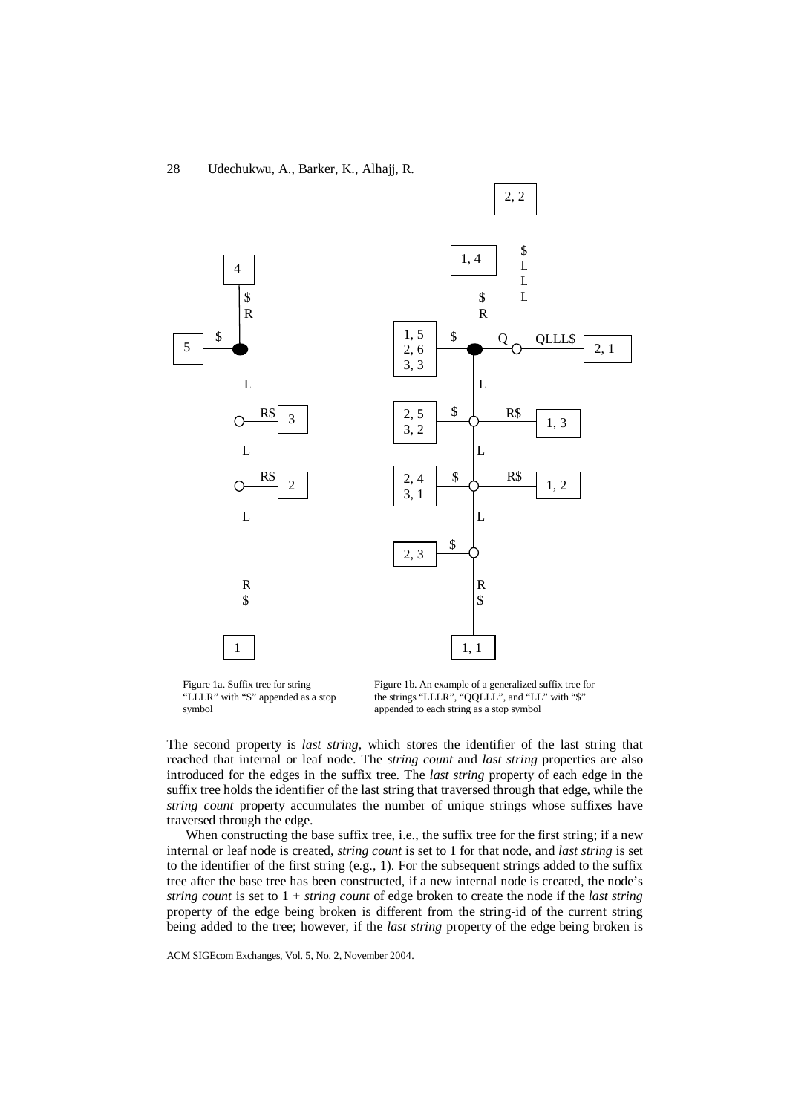

Figure 1a. Suffix tree for string "LLLR" with "\$" appended as a stop symbol

Figure 1b. An example of a generalized suffix tree for the strings "LLLR", "QQLLL", and "LL" with "\$" appended to each string as a stop symbol

The second property is *last string*, which stores the identifier of the last string that reached that internal or leaf node. The *string count* and *last string* properties are also introduced for the edges in the suffix tree. The *last string* property of each edge in the suffix tree holds the identifier of the last string that traversed through that edge, while the *string count* property accumulates the number of unique strings whose suffixes have traversed through the edge.

When constructing the base suffix tree, i.e., the suffix tree for the first string; if a new internal or leaf node is created, *string count* is set to 1 for that node, and *last string* is set to the identifier of the first string (e.g., 1). For the subsequent strings added to the suffix tree after the base tree has been constructed, if a new internal node is created, the node's *string count* is set to 1 + *string count* of edge broken to create the node if the *last string* property of the edge being broken is different from the string-id of the current string being added to the tree; however, if the *last string* property of the edge being broken is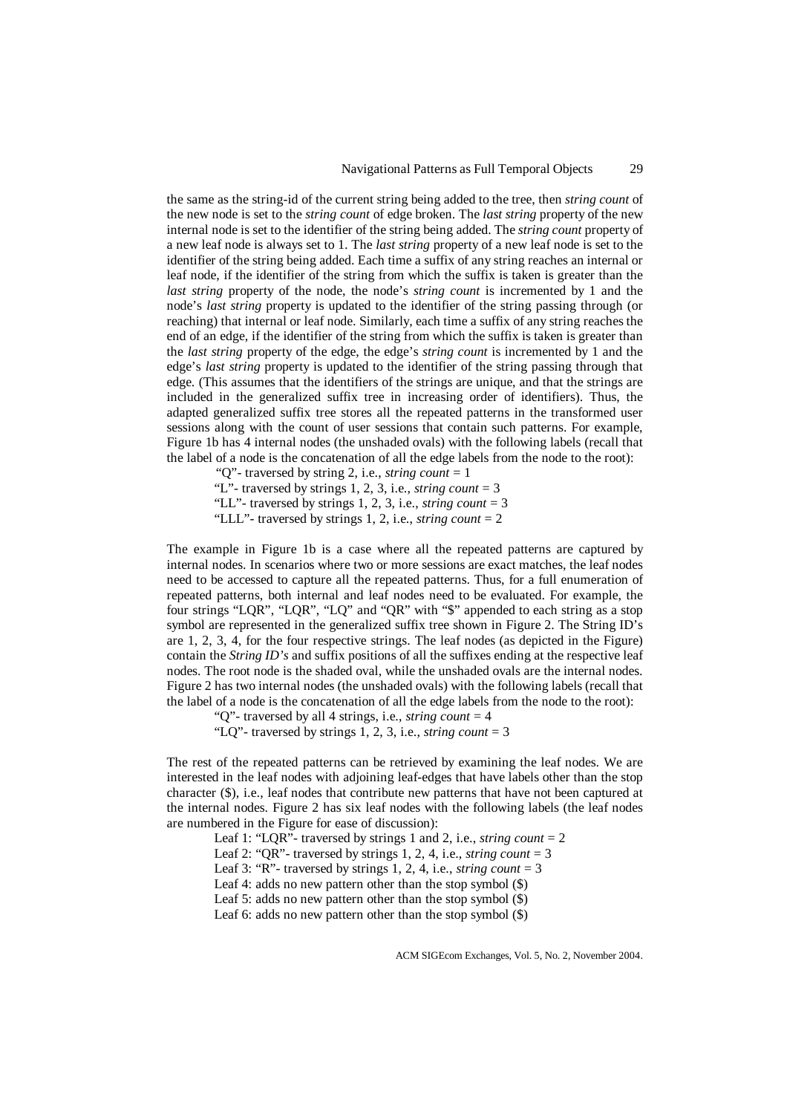the same as the string-id of the current string being added to the tree, then *string count* of the new node is set to the *string count* of edge broken. The *last string* property of the new internal node is set to the identifier of the string being added. The *string count* property of a new leaf node is always set to 1. The *last string* property of a new leaf node is set to the identifier of the string being added. Each time a suffix of any string reaches an internal or leaf node, if the identifier of the string from which the suffix is taken is greater than the *last string* property of the node, the node's *string count* is incremented by 1 and the node's *last string* property is updated to the identifier of the string passing through (or reaching) that internal or leaf node. Similarly, each time a suffix of any string reaches the end of an edge, if the identifier of the string from which the suffix is taken is greater than the *last string* property of the edge, the edge's *string count* is incremented by 1 and the edge's *last string* property is updated to the identifier of the string passing through that edge. (This assumes that the identifiers of the strings are unique, and that the strings are included in the generalized suffix tree in increasing order of identifiers). Thus, the adapted generalized suffix tree stores all the repeated patterns in the transformed user sessions along with the count of user sessions that contain such patterns. For example, Figure 1b has 4 internal nodes (the unshaded ovals) with the following labels (recall that the label of a node is the concatenation of all the edge labels from the node to the root):

 "Q"- traversed by string 2, i.e., *string count* = 1 "L"- traversed by strings 1, 2, 3, i.e., *string count* = 3 "LL"- traversed by strings 1, 2, 3, i.e., *string count* = 3 "LLL"- traversed by strings 1, 2, i.e., *string count* = 2

The example in Figure 1b is a case where all the repeated patterns are captured by internal nodes. In scenarios where two or more sessions are exact matches, the leaf nodes need to be accessed to capture all the repeated patterns. Thus, for a full enumeration of repeated patterns, both internal and leaf nodes need to be evaluated. For example, the four strings "LQR", "LQR", "LQ" and "QR" with "\$" appended to each string as a stop symbol are represented in the generalized suffix tree shown in Figure 2. The String ID's are 1, 2, 3, 4, for the four respective strings. The leaf nodes (as depicted in the Figure) contain the *String ID's* and suffix positions of all the suffixes ending at the respective leaf nodes. The root node is the shaded oval, while the unshaded ovals are the internal nodes. Figure 2 has two internal nodes (the unshaded ovals) with the following labels (recall that the label of a node is the concatenation of all the edge labels from the node to the root):

 "Q"- traversed by all 4 strings, i.e., *string count* = 4 "LQ"- traversed by strings 1, 2, 3, i.e., *string count* = 3

The rest of the repeated patterns can be retrieved by examining the leaf nodes. We are interested in the leaf nodes with adjoining leaf-edges that have labels other than the stop character (\$), i.e., leaf nodes that contribute new patterns that have not been captured at the internal nodes. Figure 2 has six leaf nodes with the following labels (the leaf nodes are numbered in the Figure for ease of discussion):

Leaf 1: "LQR"- traversed by strings 1 and 2, i.e., *string count* = 2 Leaf 2: "OR"- traversed by strings 1, 2, 4, i.e., *string count*  $=$  3 Leaf 3: "R"- traversed by strings 1, 2, 4, i.e., *string count* = 3 Leaf 4: adds no new pattern other than the stop symbol (\$) Leaf 5: adds no new pattern other than the stop symbol (\$) Leaf 6: adds no new pattern other than the stop symbol (\$)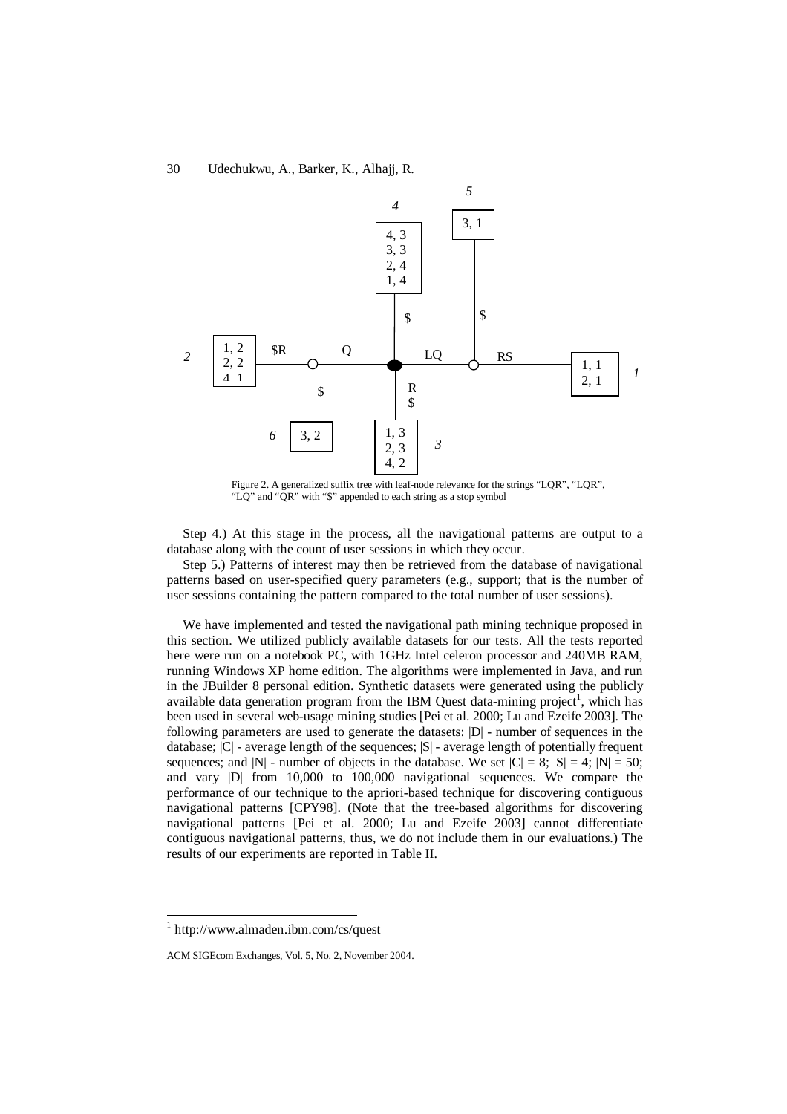

Figure 2. A generalized suffix tree with leaf-node relevance for the strings "LQR", "LQR", "LQ" and "QR" with "\$" appended to each string as a stop symbol

Step 4.) At this stage in the process, all the navigational patterns are output to a database along with the count of user sessions in which they occur.

Step 5.) Patterns of interest may then be retrieved from the database of navigational patterns based on user-specified query parameters (e.g., support; that is the number of user sessions containing the pattern compared to the total number of user sessions).

We have implemented and tested the navigational path mining technique proposed in this section. We utilized publicly available datasets for our tests. All the tests reported here were run on a notebook PC, with 1GHz Intel celeron processor and 240MB RAM, running Windows XP home edition. The algorithms were implemented in Java, and run in the JBuilder 8 personal edition. Synthetic datasets were generated using the publicly available data generation program from the IBM Quest data-mining project<sup>1</sup>, which has been used in several web-usage mining studies [Pei et al. 2000; Lu and Ezeife 2003]. The following parameters are used to generate the datasets: |D| - number of sequences in the database; |C| - average length of the sequences; |S| - average length of potentially frequent sequences; and  $|N|$  - number of objects in the database. We set  $|C| = 8$ ;  $|S| = 4$ ;  $|N| = 50$ ; and vary |D| from 10,000 to 100,000 navigational sequences. We compare the performance of our technique to the apriori-based technique for discovering contiguous navigational patterns [CPY98]. (Note that the tree-based algorithms for discovering navigational patterns [Pei et al. 2000; Lu and Ezeife 2003] cannot differentiate contiguous navigational patterns, thus, we do not include them in our evaluations.) The results of our experiments are reported in Table II.

 1 http://www.almaden.ibm.com/cs/quest

ACM SIGEcom Exchanges, Vol. 5, No. 2, November 2004.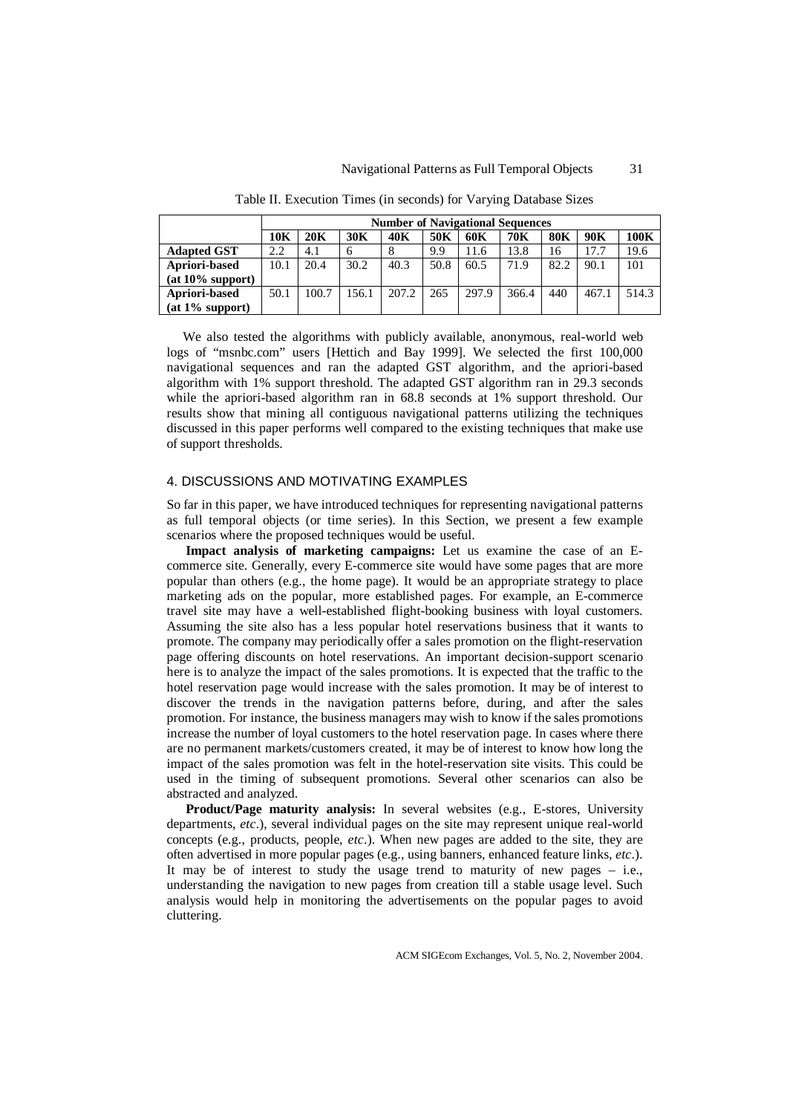|                     | <b>Number of Navigational Sequences</b> |       |       |       |      |       |       |            |       |       |
|---------------------|-----------------------------------------|-------|-------|-------|------|-------|-------|------------|-------|-------|
|                     | 10K                                     | 20K   | 30K   | 40K   | 50K  | 60K   | 70K   | <b>80K</b> | 90K   | 100K  |
| <b>Adapted GST</b>  | 2.2                                     | 4.1   | 6     |       | 9.9  | 11.6  | 13.8  | 16         | 17.7  | 19.6  |
| Apriori-based       | 10.1                                    | 20.4  | 30.2  | 40.3  | 50.8 | 60.5  | 71.9  | 82.2       | 90.1  | 101   |
| $(at 10\% support)$ |                                         |       |       |       |      |       |       |            |       |       |
| Apriori-based       | 50.1                                    | 100.7 | 156.1 | 207.2 | 265  | 297.9 | 366.4 | 440        | 467.1 | 514.3 |
| $(at 1\% support)$  |                                         |       |       |       |      |       |       |            |       |       |

Table II. Execution Times (in seconds) for Varying Database Sizes

We also tested the algorithms with publicly available, anonymous, real-world web logs of "msnbc.com" users [Hettich and Bay 1999]. We selected the first 100,000 navigational sequences and ran the adapted GST algorithm, and the apriori-based algorithm with 1% support threshold. The adapted GST algorithm ran in 29.3 seconds while the apriori-based algorithm ran in 68.8 seconds at 1% support threshold. Our results show that mining all contiguous navigational patterns utilizing the techniques discussed in this paper performs well compared to the existing techniques that make use of support thresholds.

#### 4. DISCUSSIONS AND MOTIVATING EXAMPLES

So far in this paper, we have introduced techniques for representing navigational patterns as full temporal objects (or time series). In this Section, we present a few example scenarios where the proposed techniques would be useful.

**Impact analysis of marketing campaigns:** Let us examine the case of an Ecommerce site. Generally, every E-commerce site would have some pages that are more popular than others (e.g., the home page). It would be an appropriate strategy to place marketing ads on the popular, more established pages. For example, an E-commerce travel site may have a well-established flight-booking business with loyal customers. Assuming the site also has a less popular hotel reservations business that it wants to promote. The company may periodically offer a sales promotion on the flight-reservation page offering discounts on hotel reservations. An important decision-support scenario here is to analyze the impact of the sales promotions. It is expected that the traffic to the hotel reservation page would increase with the sales promotion. It may be of interest to discover the trends in the navigation patterns before, during, and after the sales promotion. For instance, the business managers may wish to know if the sales promotions increase the number of loyal customers to the hotel reservation page. In cases where there are no permanent markets/customers created, it may be of interest to know how long the impact of the sales promotion was felt in the hotel-reservation site visits. This could be used in the timing of subsequent promotions. Several other scenarios can also be abstracted and analyzed.

**Product/Page maturity analysis:** In several websites (e.g., E-stores, University departments, *etc*.), several individual pages on the site may represent unique real-world concepts (e.g., products, people, *etc*.). When new pages are added to the site, they are often advertised in more popular pages (e.g., using banners, enhanced feature links, *etc*.). It may be of interest to study the usage trend to maturity of new pages – i.e., understanding the navigation to new pages from creation till a stable usage level. Such analysis would help in monitoring the advertisements on the popular pages to avoid cluttering.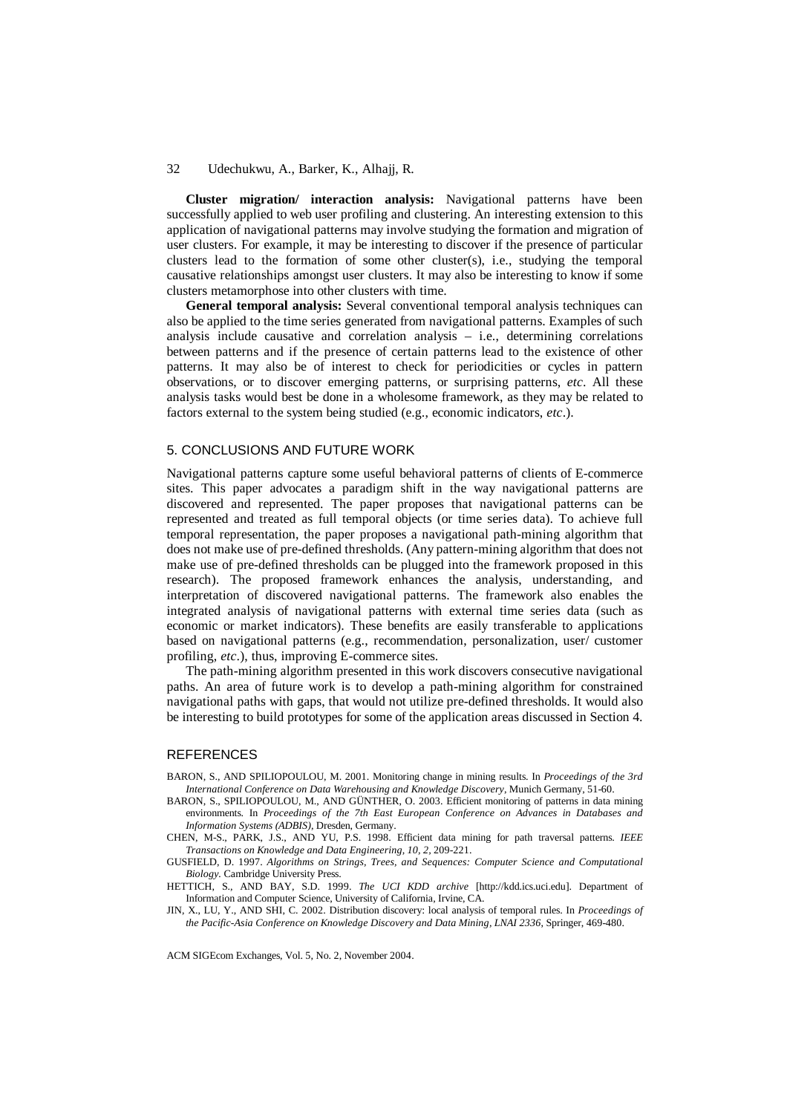**Cluster migration/ interaction analysis:** Navigational patterns have been successfully applied to web user profiling and clustering. An interesting extension to this application of navigational patterns may involve studying the formation and migration of user clusters. For example, it may be interesting to discover if the presence of particular clusters lead to the formation of some other cluster(s), i.e., studying the temporal causative relationships amongst user clusters. It may also be interesting to know if some clusters metamorphose into other clusters with time.

**General temporal analysis:** Several conventional temporal analysis techniques can also be applied to the time series generated from navigational patterns. Examples of such analysis include causative and correlation analysis – i.e., determining correlations between patterns and if the presence of certain patterns lead to the existence of other patterns. It may also be of interest to check for periodicities or cycles in pattern observations, or to discover emerging patterns, or surprising patterns, *etc*. All these analysis tasks would best be done in a wholesome framework, as they may be related to factors external to the system being studied (e.g., economic indicators, *etc*.).

#### 5. CONCLUSIONS AND FUTURE WORK

Navigational patterns capture some useful behavioral patterns of clients of E-commerce sites. This paper advocates a paradigm shift in the way navigational patterns are discovered and represented. The paper proposes that navigational patterns can be represented and treated as full temporal objects (or time series data). To achieve full temporal representation, the paper proposes a navigational path-mining algorithm that does not make use of pre-defined thresholds. (Any pattern-mining algorithm that does not make use of pre-defined thresholds can be plugged into the framework proposed in this research). The proposed framework enhances the analysis, understanding, and interpretation of discovered navigational patterns. The framework also enables the integrated analysis of navigational patterns with external time series data (such as economic or market indicators). These benefits are easily transferable to applications based on navigational patterns (e.g., recommendation, personalization, user/ customer profiling, *etc*.), thus, improving E-commerce sites.

The path-mining algorithm presented in this work discovers consecutive navigational paths. An area of future work is to develop a path-mining algorithm for constrained navigational paths with gaps, that would not utilize pre-defined thresholds. It would also be interesting to build prototypes for some of the application areas discussed in Section 4.

# **REFERENCES**

BARON, S., AND SPILIOPOULOU, M. 2001. Monitoring change in mining results. In *Proceedings of the 3rd International Conference on Data Warehousing and Knowledge Discovery*, Munich Germany, 51-60.

BARON, S., SPILIOPOULOU, M., AND GÜNTHER, O. 2003. Efficient monitoring of patterns in data mining environments. In *Proceedings of the 7th East European Conference on Advances in Databases and Information Systems (ADBIS)*, Dresden, Germany.

CHEN, M-S., PARK, J.S., AND YU, P.S. 1998. Efficient data mining for path traversal patterns. *IEEE Transactions on Knowledge and Data Engineering, 10, 2,* 209-221.

GUSFIELD, D. 1997. *Algorithms on Strings, Trees, and Sequences: Computer Science and Computational Biology.* Cambridge University Press.

HETTICH, S., AND BAY, S.D. 1999. *The UCI KDD archive* [http://kdd.ics.uci.edu]. Department of Information and Computer Science, University of California, Irvine, CA.

JIN, X., LU, Y., AND SHI, C. 2002. Distribution discovery: local analysis of temporal rules. In *Proceedings of the Pacific-Asia Conference on Knowledge Discovery and Data Mining, LNAI 2336*, Springer, 469-480.